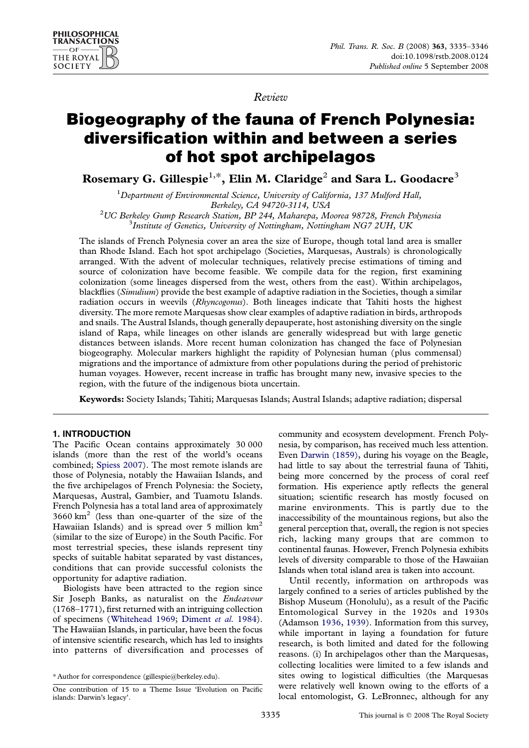

Review

# Biogeography of the fauna of French Polynesia: diversification within and between a series of hot spot archipelagos

Rosemary G. Gillespie $^{1,\ast},$  Elin M. Claridge $^2$  and Sara L. Goodacre $^3$ 

<sup>1</sup>Department of Environmental Science, University of California, 137 Mulford Hall, Berkeley, CA 94720-3114, USA<br><sup>2</sup>UC Berkeley, Gunt Bessareh Station, BB 244, Maharata, M UC Berkeley Gump Research Station, BP 244, Maharepa, Moorea 98728, French Polynesia<br><sup>3</sup> Institute of Genetics University of Nottingham Nottingham NG7 211H JIK <sup>3</sup> Institute of Genetics, University of Nottingham, Nottingham NG7 2UH, UK

The islands of French Polynesia cover an area the size of Europe, though total land area is smaller than Rhode Island. Each hot spot archipelago (Societies, Marquesas, Australs) is chronologically arranged. With the advent of molecular techniques, relatively precise estimations of timing and source of colonization have become feasible. We compile data for the region, first examining colonization (some lineages dispersed from the west, others from the east). Within archipelagos, blackflies (Simulium) provide the best example of adaptive radiation in the Societies, though a similar radiation occurs in weevils (Rhyncogonus). Both lineages indicate that Tahiti hosts the highest diversity. The more remote Marquesas show clear examples of adaptive radiation in birds, arthropods and snails. The Austral Islands, though generally depauperate, host astonishing diversity on the single island of Rapa, while lineages on other islands are generally widespread but with large genetic distances between islands. More recent human colonization has changed the face of Polynesian biogeography. Molecular markers highlight the rapidity of Polynesian human (plus commensal) migrations and the importance of admixture from other populations during the period of prehistoric human voyages. However, recent increase in traffic has brought many new, invasive species to the region, with the future of the indigenous biota uncertain.

Keywords: Society Islands; Tahiti; Marquesas Islands; Austral Islands; adaptive radiation; dispersal

## 1. INTRODUCTION

The Pacific Ocean contains approximately 30 000 islands (more than the rest of the world's oceans combined; [Spiess](#page-11-0) 2007). The most remote islands are those of Polynesia, notably the Hawaiian Islands, and the five archipelagos of French Polynesia: the Society, Marquesas, Austral, Gambier, and Tuamotu Islands. French Polynesia has a total land area of approximately  $3660 \text{ km}^2$  (less than one-quarter of the size of the Hawaiian Islands) and is spread over 5 million  $km^2$ (similar to the size of Europe) in the South Pacific. For most terrestrial species, these islands represent tiny specks of suitable habitat separated by vast distances, conditions that can provide successful colonists the opportunity for adaptive radiation.

Biologists have been attracted to the region since Sir Joseph Banks, as naturalist on the Endeavour (1768–1771), first returned with an intriguing collection of specimens ([Whitehead](#page-11-0) 1969; [Diment](#page-10-0) et al. 1984). The Hawaiian Islands, in particular, have been the focus of intensive scientific research, which has led to insights into patterns of diversification and processes of

\* Author for correspondence (gillespie@berkeley.edu).

community and ecosystem development. French Polynesia, by comparison, has received much less attention. Even [Darwin](#page-10-0) (1859), during his voyage on the Beagle, had little to say about the terrestrial fauna of Tahiti, being more concerned by the process of coral reef formation. His experience aptly reflects the general situation; scientific research has mostly focused on marine environments. This is partly due to the inaccessibility of the mountainous regions, but also the general perception that, overall, the region is not species rich, lacking many groups that are common to continental faunas. However, French Polynesia exhibits levels of diversity comparable to those of the Hawaiian Islands when total island area is taken into account.

Until recently, information on arthropods was largely confined to a series of articles published by the Bishop Museum (Honolulu), as a result of the Pacific Entomological Survey in the 1920s and 1930s (Adamson [1936,](#page-9-0) [1939](#page-9-0)). Information from this survey, while important in laying a foundation for future research, is both limited and dated for the following reasons. (i) In archipelagos other than the Marquesas, collecting localities were limited to a few islands and sites owing to logistical difficulties (the Marquesas were relatively well known owing to the efforts of a local entomologist, G. LeBronnec, although for any

One contribution of 15 to a Theme Issue 'Evolution on Pacific islands: Darwin's legacy'.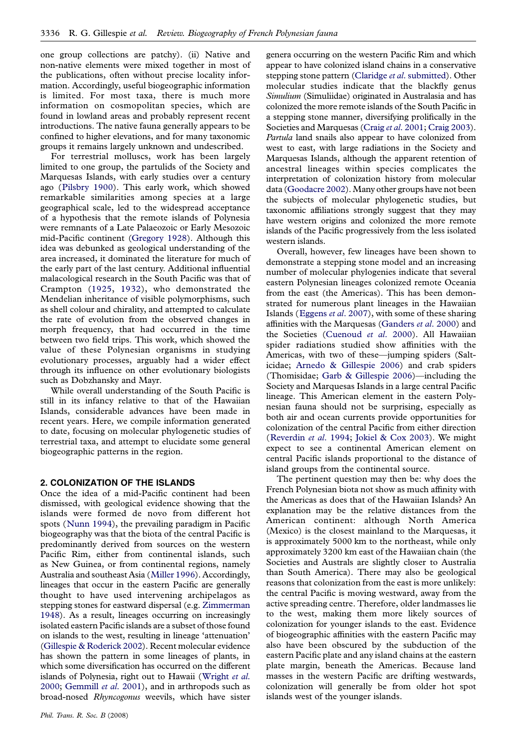one group collections are patchy). (ii) Native and non-native elements were mixed together in most of the publications, often without precise locality information. Accordingly, useful biogeographic information is limited. For most taxa, there is much more information on cosmopolitan species, which are found in lowland areas and probably represent recent introductions. The native fauna generally appears to be confined to higher elevations, and for many taxonomic groups it remains largely unknown and undescribed.

For terrestrial molluscs, work has been largely limited to one group, the partulids of the Society and Marquesas Islands, with early studies over a century ago ([Pilsbry](#page-11-0) 1900). This early work, which showed remarkable similarities among species at a large geographical scale, led to the widespread acceptance of a hypothesis that the remote islands of Polynesia were remnants of a Late Palaeozoic or Early Mesozoic mid-Pacific continent [\(Gregory](#page-10-0) 1928). Although this idea was debunked as geological understanding of the area increased, it dominated the literature for much of the early part of the last century. Additional influential malacological research in the South Pacific was that of Crampton ([1925,](#page-10-0) [1932\)](#page-10-0), who demonstrated the Mendelian inheritance of visible polymorphisms, such as shell colour and chirality, and attempted to calculate the rate of evolution from the observed changes in morph frequency, that had occurred in the time between two field trips. This work, which showed the value of these Polynesian organisms in studying evolutionary processes, arguably had a wider effect through its influence on other evolutionary biologists such as Dobzhansky and Mayr.

While overall understanding of the South Pacific is still in its infancy relative to that of the Hawaiian Islands, considerable advances have been made in recent years. Here, we compile information generated to date, focusing on molecular phylogenetic studies of terrestrial taxa, and attempt to elucidate some general biogeographic patterns in the region.

#### 2. COLONIZATION OF THE ISLANDS

Once the idea of a mid-Pacific continent had been dismissed, with geological evidence showing that the islands were formed de novo from different hot spots ([Nunn](#page-11-0) 1994), the prevailing paradigm in Pacific biogeography was that the biota of the central Pacific is predominantly derived from sources on the western Pacific Rim, either from continental islands, such as New Guinea, or from continental regions, namely Australia and southeast Asia ([Miller](#page-11-0) 1996). Accordingly, lineages that occur in the eastern Pacific are generally thought to have used intervening archipelagos as stepping stones for eastward dispersal (e.g. [Zimmerman](#page-11-0) [1948\)](#page-11-0). As a result, lineages occurring on increasingly isolated eastern Pacific islands are a subset of those found on islands to the west, resulting in lineage 'attenuation' (Gillespie & [Roderick](#page-10-0) 2002). Recent molecular evidence has shown the pattern in some lineages of plants, in which some diversification has occurred on the different islands of Polynesia, right out to Hawaii ([Wright](#page-11-0) et al. [2000;](#page-11-0) [Gemmill](#page-10-0) et al. 2001), and in arthropods such as broad-nosed Rhyncogonus weevils, which have sister

genera occurring on the western Pacific Rim and which appear to have colonized island chains in a conservative stepping stone pattern (Claridge et al. [submitted\)](#page-9-0). Other molecular studies indicate that the blackfly genus Simulium (Simuliidae) originated in Australasia and has colonized the more remote islands of the South Pacific in a stepping stone manner, diversifying prolifically in the Societies and Marquesas ([Craig](#page-10-0) et al. 2001; Craig 2003). Partula land snails also appear to have colonized from west to east, with large radiations in the Society and Marquesas Islands, although the apparent retention of ancestral lineages within species complicates the interpretation of colonization history from molecular data [\(Goodacre](#page-10-0) 2002). Many other groups have not been the subjects of molecular phylogenetic studies, but taxonomic affiliations strongly suggest that they may have western origins and colonized the more remote islands of the Pacific progressively from the less isolated western islands.

Overall, however, few lineages have been shown to demonstrate a stepping stone model and an increasing number of molecular phylogenies indicate that several eastern Polynesian lineages colonized remote Oceania from the east (the Americas). This has been demonstrated for numerous plant lineages in the Hawaiian Islands ([Eggens](#page-10-0) et al. 2007), with some of these sharing affinities with the Marquesas [\(Ganders](#page-10-0) et al. 2000) and the Societies [\(Cuenoud](#page-10-0) et al. 2000). All Hawaiian spider radiations studied show affinities with the Americas, with two of these—jumping spiders (Salticidae; Arnedo & [Gillespie](#page-9-0) 2006) and crab spiders (Thomisidae; Garb & [Gillespie](#page-10-0) 2006)—including the Society and Marquesas Islands in a large central Pacific lineage. This American element in the eastern Polynesian fauna should not be surprising, especially as both air and ocean currents provide opportunities for colonization of the central Pacific from either direction ([Reverdin](#page-11-0) et al. 1994; [Jokiel](#page-10-0) & Cox 2003). We might expect to see a continental American element on central Pacific islands proportional to the distance of island groups from the continental source.

The pertinent question may then be: why does the French Polynesian biota not show as much affinity with the Americas as does that of the Hawaiian Islands? An explanation may be the relative distances from the American continent: although North America (Mexico) is the closest mainland to the Marquesas, it is approximately 5000 km to the northeast, while only approximately 3200 km east of the Hawaiian chain (the Societies and Australs are slightly closer to Australia than South America). There may also be geological reasons that colonization from the east is more unlikely: the central Pacific is moving westward, away from the active spreading centre. Therefore, older landmasses lie to the west, making them more likely sources of colonization for younger islands to the east. Evidence of biogeographic affinities with the eastern Pacific may also have been obscured by the subduction of the eastern Pacific plate and any island chains at the eastern plate margin, beneath the Americas. Because land masses in the western Pacific are drifting westwards, colonization will generally be from older hot spot islands west of the younger islands.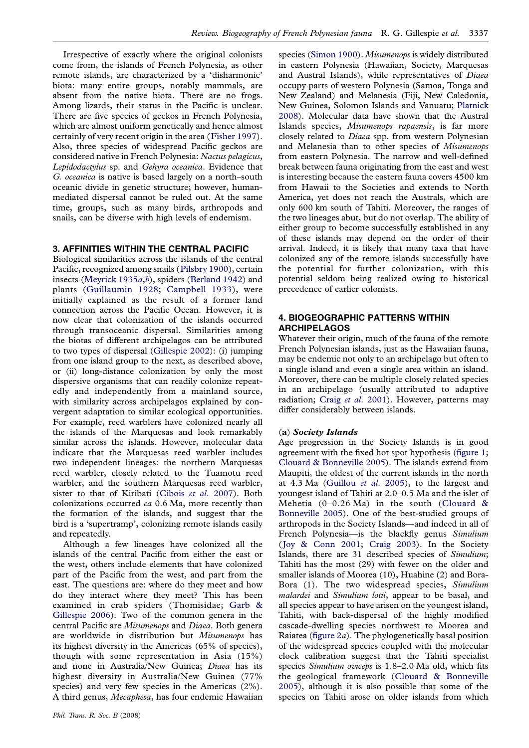Irrespective of exactly where the original colonists come from, the islands of French Polynesia, as other remote islands, are characterized by a 'disharmonic' biota: many entire groups, notably mammals, are absent from the native biota. There are no frogs. Among lizards, their status in the Pacific is unclear. There are five species of geckos in French Polynesia, which are almost uniform genetically and hence almost certainly of very recent origin in the area ([Fisher](#page-10-0) 1997). Also, three species of widespread Pacific geckos are considered native in French Polynesia: Nactus pelagicus, Lepidodactylus sp. and Gehyra oceanica. Evidence that G. oceanica is native is based largely on a north–south oceanic divide in genetic structure; however, humanmediated dispersal cannot be ruled out. At the same time, groups, such as many birds, arthropods and snails, can be diverse with high levels of endemism.

## 3. AFFINITIES WITHIN THE CENTRAL PACIFIC

Biological similarities across the islands of the central Pacific, recognized among snails ([Pilsbry](#page-11-0) 1900), certain insects ([Meyrick](#page-11-0) 1935a,[b](#page-11-0)), spiders ([Berland](#page-9-0) 1942) and plants ([Guillaumin](#page-10-0) 1928; [Campbell](#page-9-0) 1933), were initially explained as the result of a former land connection across the Pacific Ocean. However, it is now clear that colonization of the islands occurred through transoceanic dispersal. Similarities among the biotas of different archipelagos can be attributed to two types of dispersal ([Gillespie](#page-10-0) 2002): (i) jumping from one island group to the next, as described above, or (ii) long-distance colonization by only the most dispersive organisms that can readily colonize repeatedly and independently from a mainland source, with similarity across archipelagos explained by convergent adaptation to similar ecological opportunities. For example, reed warblers have colonized nearly all the islands of the Marquesas and look remarkably similar across the islands. However, molecular data indicate that the Marquesas reed warbler includes two independent lineages: the northern Marquesas reed warbler, closely related to the Tuamotu reed warbler, and the southern Marquesas reed warbler, sister to that of Kiribati [\(Cibois](#page-9-0) et al. 2007). Both colonizations occurred ca 0.6 Ma, more recently than the formation of the islands, and suggest that the bird is a 'supertramp', colonizing remote islands easily and repeatedly.

Although a few lineages have colonized all the islands of the central Pacific from either the east or the west, others include elements that have colonized part of the Pacific from the west, and part from the east. The questions are: where do they meet and how do they interact where they meet? This has been examined in crab spiders (Thomisidae; [Garb](#page-10-0) & [Gillespie](#page-10-0) 2006). Two of the common genera in the central Pacific are Misumenops and Diaea. Both genera are worldwide in distribution but Misumenops has its highest diversity in the Americas (65% of species), though with some representation in Asia (15%) and none in Australia/New Guinea; Diaea has its highest diversity in Australia/New Guinea (77% species) and very few species in the Americas (2%). A third genus, Mecaphesa, has four endemic Hawaiian

species ([Simon](#page-11-0) 1900). Misumenops is widely distributed in eastern Polynesia (Hawaiian, Society, Marquesas and Austral Islands), while representatives of Diaea occupy parts of western Polynesia (Samoa, Tonga and New Zealand) and Melanesia (Fiji, New Caledonia, New Guinea, Solomon Islands and Vanuatu; [Platnick](#page-11-0) [2008](#page-11-0)). Molecular data have shown that the Austral Islands species, Misumenops rapaensis, is far more closely related to Diaea spp. from western Polynesian and Melanesia than to other species of Misumenops from eastern Polynesia. The narrow and well-defined break between fauna originating from the east and west is interesting because the eastern fauna covers 4500 km from Hawaii to the Societies and extends to North America, yet does not reach the Australs, which are only 600 km south of Tahiti. Moreover, the ranges of the two lineages abut, but do not overlap. The ability of either group to become successfully established in any of these islands may depend on the order of their arrival. Indeed, it is likely that many taxa that have colonized any of the remote islands successfully have the potential for further colonization, with this potential seldom being realized owing to historical precedence of earlier colonists.

## 4. BIOGEOGRAPHIC PATTERNS WITHIN **ARCHIPELAGOS**

Whatever their origin, much of the fauna of the remote French Polynesian islands, just as the Hawaiian fauna, may be endemic not only to an archipelago but often to a single island and even a single area within an island. Moreover, there can be multiple closely related species in an archipelago (usually attributed to adaptive radiation; [Craig](#page-10-0) et al. 2001). However, patterns may differ considerably between islands.

#### (a) Society Islands

Age progression in the Society Islands is in good agreement with the fixed hot spot hypothesis [\(figure](#page-3-0) 1; Clouard & [Bonneville](#page-9-0) 2005). The islands extend from Maupiti, the oldest of the current islands in the north at 4.3 Ma ([Guillou](#page-10-0) et al. 2005), to the largest and youngest island of Tahiti at 2.0–0.5 Ma and the islet of Mehetia  $(0-0.26 \text{ Ma})$  in the south ([Clouard](#page-9-0) & [Bonneville](#page-9-0) 2005). One of the best-studied groups of arthropods in the Society Islands—and indeed in all of French Polynesia—is the blackfly genus Simulium (Joy & [Conn](#page-10-0) 2001; [Craig](#page-10-0) 2003). In the Society Islands, there are 31 described species of Simulium; Tahiti has the most (29) with fewer on the older and smaller islands of Moorea (10), Huahine (2) and Bora-Bora (1). The two widespread species, Simulium malardei and Simulium lotii, appear to be basal, and all species appear to have arisen on the youngest island, Tahiti, with back-dispersal of the highly modified cascade-dwelling species northwest to Moorea and Raiatea ([figure](#page-5-0) 2a). The phylogenetically basal position of the widespread species coupled with the molecular clock calibration suggest that the Tahiti specialist species Simulium oviceps is 1.8-2.0 Ma old, which fits the geological framework (Clouard & [Bonneville](#page-9-0) [2005](#page-9-0)), although it is also possible that some of the species on Tahiti arose on older islands from which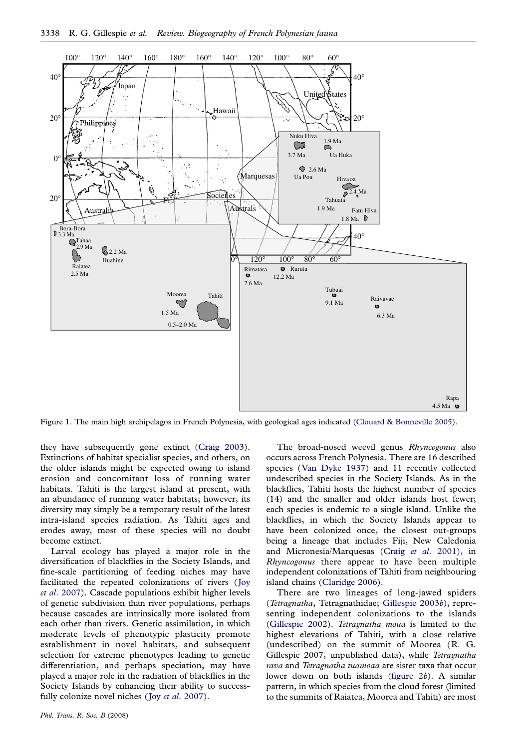<span id="page-3-0"></span>

Figure 1. The main high archipelagos in French Polynesia, with geological ages indicated (Clouard & [Bonneville](#page-9-0) 2005).

they have subsequently gone extinct ([Craig](#page-10-0) 2003). Extinctions of habitat specialist species, and others, on the older islands might be expected owing to island erosion and concomitant loss of running water habitats. Tahiti is the largest island at present, with an abundance of running water habitats; however, its diversity may simply be a temporary result of the latest intra-island species radiation. As Tahiti ages and erodes away, most of these species will no doubt become extinct.

Larval ecology has played a major role in the diversification of blackflies in the Society Islands, and fine-scale partitioning of feeding niches may have facilitated the repeated colonizations of rivers ([Joy](#page-10-0) et al. [2007\)](#page-10-0). Cascade populations exhibit higher levels of genetic subdivision than river populations, perhaps because cascades are intrinsically more isolated from each other than rivers. Genetic assimilation, in which moderate levels of phenotypic plasticity promote establishment in novel habitats, and subsequent selection for extreme phenotypes leading to genetic differentiation, and perhaps speciation, may have played a major role in the radiation of blackflies in the Society Islands by enhancing their ability to success-fully colonize novel niches (Joy et al. [2007\)](#page-10-0).

The broad-nosed weevil genus Rhyncogonus also occurs across French Polynesia. There are 16 described species (Van [Dyke](#page-11-0) 1937) and 11 recently collected undescribed species in the Society Islands. As in the blackflies, Tahiti hosts the highest number of species (14) and the smaller and older islands host fewer; each species is endemic to a single island. Unlike the blackflies, in which the Society Islands appear to have been colonized once, the closest out-groups being a lineage that includes Fiji, New Caledonia and Micronesia/Marquesas [\(Craig](#page-10-0) et al. 2001), in Rhyncogonus there appear to have been multiple independent colonizations of Tahiti from neighbouring island chains [\(Claridge](#page-9-0) 2006).

There are two lineages of long-jawed spiders (Tetragnatha, Tetragnathidae; [Gillespie](#page-10-0) 2003b), representing independent colonizations to the islands [\(Gillespie](#page-10-0) 2002). Tetragnatha moua is limited to the highest elevations of Tahiti, with a close relative (undescribed) on the summit of Moorea (R. G. Gillespie 2007, unpublished data), while Tetragnatha rava and Tetragnatha tuamoaa are sister taxa that occur lower down on both islands [\(figure](#page-5-0)  $2b$ ). A similar pattern, in which species from the cloud forest (limited to the summits of Raiatea, Moorea and Tahiti) are most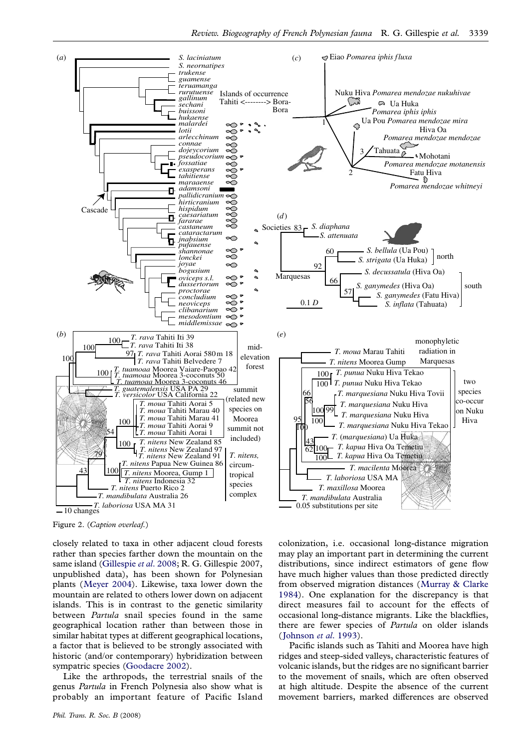

Figure 2. (Caption overleaf.)

closely related to taxa in other adjacent cloud forests rather than species farther down the mountain on the same island [\(Gillespie](#page-10-0) et al. 2008; R. G. Gillespie 2007, unpublished data), has been shown for Polynesian plants ([Meyer](#page-11-0) 2004). Likewise, taxa lower down the mountain are related to others lower down on adjacent islands. This is in contrast to the genetic similarity between Partula snail species found in the same geographical location rather than between those in similar habitat types at different geographical locations, a factor that is believed to be strongly associated with historic (and/or contemporary) hybridization between sympatric species ([Goodacre](#page-10-0) 2002).

Like the arthropods, the terrestrial snails of the genus Partula in French Polynesia also show what is probably an important feature of Pacific Island

colonization, i.e. occasional long-distance migration may play an important part in determining the current distributions, since indirect estimators of gene flow have much higher values than those predicted directly from observed migration distances ([Murray](#page-11-0) & Clarke [1984](#page-11-0)). One explanation for the discrepancy is that direct measures fail to account for the effects of occasional long-distance migrants. Like the blackflies, there are fewer species of Partula on older islands ([Johnson](#page-10-0) et al. 1993).

Pacific islands such as Tahiti and Moorea have high ridges and steep-sided valleys, characteristic features of volcanic islands, but the ridges are no significant barrier to the movement of snails, which are often observed at high altitude. Despite the absence of the current movement barriers, marked differences are observed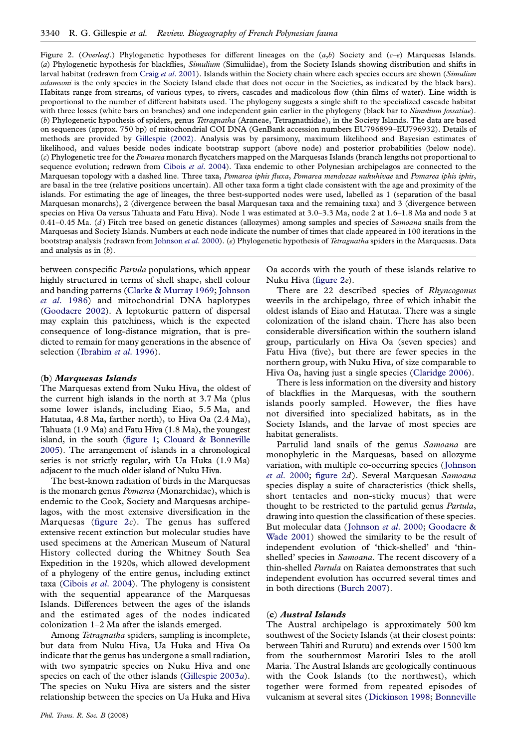<span id="page-5-0"></span>Figure 2. (Overleaf.) Phylogenetic hypotheses for different lineages on the  $(a,b)$  Society and  $(c-e)$  Marquesas Islands. (a) Phylogenetic hypothesis for blackflies, Simulium (Simuliidae), from the Society Islands showing distribution and shifts in larval habitat (redrawn from [Craig](#page-10-0) et al. 2001). Islands within the Society chain where each species occurs are shown (Simuliun adamsoni is the only species in the Society Island clade that does not occur in the Societies, as indicated by the black bars). Habitats range from streams, of various types, to rivers, cascades and madicolous flow (thin films of water). Line width is proportional to the number of different habitats used. The phylogeny suggests a single shift to the specialized cascade habitat with three losses (white bars on branches) and one independent gain earlier in the phylogeny (black bar to Simulium fossatiae). (b) Phylogenetic hypothesis of spiders, genus Tetragnatha (Araneae, Tetragnathidae), in the Society Islands. The data are based on sequences (approx. 750 bp) of mitochondrial COI DNA (GenBank accession numbers EU796899–EU796932). Details of methods are provided by [Gillespie](#page-10-0) (2002). Analysis was by parsimony, maximum likelihood and Bayesian estimates of likelihood, and values beside nodes indicate bootstrap support (above node) and posterior probabilities (below node). (c) Phylogenetic tree for the Pomarea monarch flycatchers mapped on the Marquesas Islands (branch lengths not proportional to sequence evolution; redrawn from [Cibois](#page-9-0) et al. 2004). Taxa endemic to other Polynesian archipelagos are connected to the Marquesan topology with a dashed line. Three taxa, Pomarea iphis fluxa, Pomarea mendozae nukuhivae and Pomarea iphis iphis, are basal in the tree (relative positions uncertain). All other taxa form a tight clade consistent with the age and proximity of the islands. For estimating the age of lineages, the three best-supported nodes were used, labelled as 1 (separation of the basal Marquesan monarchs), 2 (divergence between the basal Marquesan taxa and the remaining taxa) and 3 (divergence between species on Hiva Oa versus Tahuata and Fatu Hiva). Node 1 was estimated at 3.0–3.3 Ma, node 2 at 1.6–1.8 Ma and node 3 at  $0.41-0.45$  Ma. (d) Fitch tree based on genetic distances (allozymes) among samples and species of Samoana snails from the Marquesas and Society Islands. Numbers at each node indicate the number of times that clade appeared in 100 iterations in the bootstrap analysis (redrawn from [Johnson](#page-10-0) et al. 2000). (e) Phylogenetic hypothesis of Tetragnatha spiders in the Marquesas. Data and analysis as in  $(b)$ .

between conspecific Partula populations, which appear highly structured in terms of shell shape, shell colour and banding patterns (Clarke & [Murray](#page-9-0) 1969; [Johnson](#page-10-0) et al. [1986](#page-10-0)) and mitochondrial DNA haplotypes [\(Goodacre](#page-10-0) 2002). A leptokurtic pattern of dispersal may explain this patchiness, which is the expected consequence of long-distance migration, that is predicted to remain for many generations in the absence of selection ([Ibrahim](#page-10-0) et al. 1996).

#### (b) Marquesas Islands

The Marquesas extend from Nuku Hiva, the oldest of the current high islands in the north at 3.7 Ma (plus some lower islands, including Eiao, 5.5 Ma, and Hatutaa, 4.8 Ma, farther north), to Hiva Oa (2.4 Ma), Tahuata (1.9 Ma) and Fatu Hiva (1.8 Ma), the youngest island, in the south ([figure](#page-3-0) 1; Clouard & [Bonneville](#page-9-0) [2005\)](#page-9-0). The arrangement of islands in a chronological series is not strictly regular, with Ua Huka (1.9 Ma) adjacent to the much older island of Nuku Hiva.

The best-known radiation of birds in the Marquesas is the monarch genus Pomarea (Monarchidae), which is endemic to the Cook, Society and Marquesas archipelagos, with the most extensive diversification in the Marquesas (figure  $2c$ ). The genus has suffered extensive recent extinction but molecular studies have used specimens at the American Museum of Natural History collected during the Whitney South Sea Expedition in the 1920s, which allowed development of a phylogeny of the entire genus, including extinct taxa ([Cibois](#page-9-0) et al. 2004). The phylogeny is consistent with the sequential appearance of the Marquesas Islands. Differences between the ages of the islands and the estimated ages of the nodes indicated colonization 1–2 Ma after the islands emerged.

Among Tetragnatha spiders, sampling is incomplete, but data from Nuku Hiva, Ua Huka and Hiva Oa indicate that the genus has undergone a small radiation, with two sympatric species on Nuku Hiva and one species on each of the other islands [\(Gillespie](#page-10-0) 2003a). The species on Nuku Hiva are sisters and the sister relationship between the species on Ua Huka and Hiva

Oa accords with the youth of these islands relative to Nuku Hiva (figure 2e).

There are 22 described species of Rhyncogonus weevils in the archipelago, three of which inhabit the oldest islands of Eiao and Hatutaa. There was a single colonization of the island chain. There has also been considerable diversification within the southern island group, particularly on Hiva Oa (seven species) and Fatu Hiva (five), but there are fewer species in the northern group, with Nuku Hiva, of size comparable to Hiva Oa, having just a single species ([Claridge](#page-9-0) 2006).

There is less information on the diversity and history of blackflies in the Marquesas, with the southern islands poorly sampled. However, the flies have not diversified into specialized habitats, as in the Society Islands, and the larvae of most species are habitat generalists.

Partulid land snails of the genus Samoana are monophyletic in the Marquesas, based on allozyme variation, with multiple co-occurring species ([Johnson](#page-10-0) et al. [2000;](#page-10-0) figure  $2d$ ). Several Marquesan Samoana species display a suite of characteristics (thick shells, short tentacles and non-sticky mucus) that were thought to be restricted to the partulid genus Partula, drawing into question the classification of these species. But molecular data ([Johnson](#page-10-0) et al. 2000; [Goodacre](#page-10-0) & [Wade](#page-10-0) 2001) showed the similarity to be the result of independent evolution of 'thick-shelled' and 'thinshelled' species in Samoana. The recent discovery of a thin-shelled Partula on Raiatea demonstrates that such independent evolution has occurred several times and in both directions [\(Burch](#page-9-0) 2007).

#### (c) Austral Islands

The Austral archipelago is approximately 500 km southwest of the Society Islands (at their closest points: between Tahiti and Rurutu) and extends over 1500 km from the southernmost Marotiri Isles to the atoll Maria. The Austral Islands are geologically continuous with the Cook Islands (to the northwest), which together were formed from repeated episodes of vulcanism at several sites ([Dickinson](#page-10-0) 1998; [Bonneville](#page-9-0)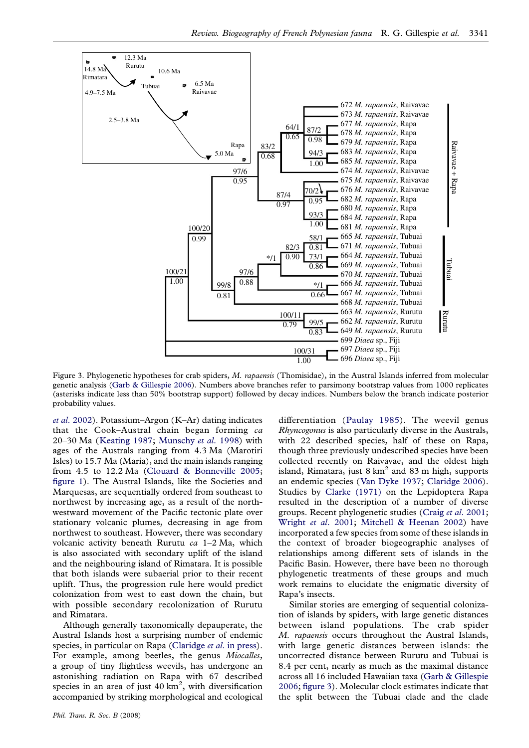

Figure 3. Phylogenetic hypotheses for crab spiders, M. rapaensis (Thomisidae), in the Austral Islands inferred from molecular genetic analysis (Garb & [Gillespie](#page-10-0) 2006). Numbers above branches refer to parsimony bootstrap values from 1000 replicates (asterisks indicate less than 50% bootstrap support) followed by decay indices. Numbers below the branch indicate posterior probability values.

et al. [2002\)](#page-9-0). Potassium–Argon (K–Ar) dating indicates that the Cook–Austral chain began forming ca 20–30 Ma ([Keating](#page-10-0) 1987; [Munschy](#page-11-0) et al. 1998) with ages of the Australs ranging from 4.3 Ma (Marotiri Isles) to 15.7 Ma (Maria), and the main islands ranging from 4.5 to 12.2 Ma (Clouard & [Bonneville](#page-9-0) 2005; [figure](#page-3-0) 1). The Austral Islands, like the Societies and Marquesas, are sequentially ordered from southeast to northwest by increasing age, as a result of the northwestward movement of the Pacific tectonic plate over stationary volcanic plumes, decreasing in age from northwest to southeast. However, there was secondary volcanic activity beneath Rurutu  $ca$  1–2 Ma, which is also associated with secondary uplift of the island and the neighbouring island of Rimatara. It is possible that both islands were subaerial prior to their recent uplift. Thus, the progression rule here would predict colonization from west to east down the chain, but with possible secondary recolonization of Rurutu and Rimatara.

Although generally taxonomically depauperate, the Austral Islands host a surprising number of endemic species, in particular on Rapa [\(Claridge](#page-9-0) et al. in press). For example, among beetles, the genus Miocalles, a group of tiny flightless weevils, has undergone an astonishing radiation on Rapa with 67 described species in an area of just  $40 \text{ km}^2$ , with diversification accompanied by striking morphological and ecological

Phil. Trans. R. Soc. B (2008)

differentiation ([Paulay](#page-11-0) 1985). The weevil genus Rhyncogonus is also particularly diverse in the Australs, with 22 described species, half of these on Rapa, though three previously undescribed species have been collected recently on Raivavae, and the oldest high island, Rimatara, just  $8 \text{ km}^2$  and  $83 \text{ m}$  high, supports an endemic species (Van [Dyke](#page-11-0) 1937; [Claridge](#page-9-0) 2006). Studies by Clarke [\(1971\)](#page-9-0) on the Lepidoptera Rapa resulted in the description of a number of diverse groups. Recent phylogenetic studies [\(Craig](#page-10-0) et al. 2001; [Wright](#page-11-0) et al. 2001; [Mitchell](#page-11-0) & Heenan 2002) have incorporated a few species from some of these islands in the context of broader biogeographic analyses of relationships among different sets of islands in the Pacific Basin. However, there have been no thorough phylogenetic treatments of these groups and much work remains to elucidate the enigmatic diversity of Rapa's insects.

Similar stories are emerging of sequential colonization of islands by spiders, with large genetic distances between island populations. The crab spider M. rapaensis occurs throughout the Austral Islands, with large genetic distances between islands: the uncorrected distance between Rurutu and Tubuai is 8.4 per cent, nearly as much as the maximal distance across all 16 included Hawaiian taxa (Garb & [Gillespie](#page-10-0) [2006](#page-10-0); figure 3). Molecular clock estimates indicate that the split between the Tubuai clade and the clade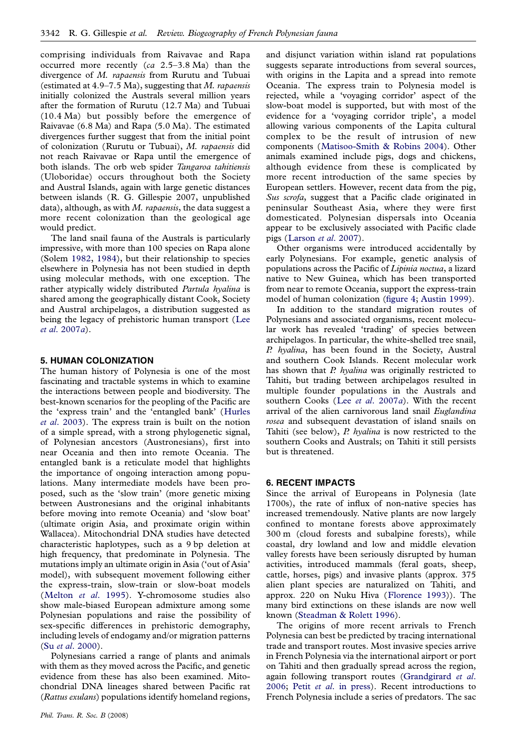comprising individuals from Raivavae and Rapa occurred more recently  $(ca 2.5-3.8 Ma)$  than the divergence of *M. rapaensis* from Rurutu and Tubuai (estimated at  $4.9-7.5$  Ma), suggesting that *M. rapaensis* initially colonized the Australs several million years after the formation of Rurutu (12.7 Ma) and Tubuai (10.4 Ma) but possibly before the emergence of Raivavae (6.8 Ma) and Rapa (5.0 Ma). The estimated divergences further suggest that from the initial point of colonization (Rurutu or Tubuai), M. rapaensis did not reach Raivavae or Rapa until the emergence of both islands. The orb web spider Tangaroa tahitiensis (Uloboridae) occurs throughout both the Society and Austral Islands, again with large genetic distances between islands (R. G. Gillespie 2007, unpublished data), although, as with  $M.$  rapaensis, the data suggest a more recent colonization than the geological age would predict.

The land snail fauna of the Australs is particularly impressive, with more than 100 species on Rapa alone (Solem [1982](#page-11-0), [1984](#page-11-0)), but their relationship to species elsewhere in Polynesia has not been studied in depth using molecular methods, with one exception. The rather atypically widely distributed Partula hyalina is shared among the geographically distant Cook, Society and Austral archipelagos, a distribution suggested as being the legacy of prehistoric human transport ([Lee](#page-11-0) et al. [2007](#page-11-0)a).

## 5. HUMAN COLONIZATION

The human history of Polynesia is one of the most fascinating and tractable systems in which to examine the interactions between people and biodiversity. The best-known scenarios for the peopling of the Pacific are the 'express train' and the 'entangled bank' ([Hurles](#page-10-0) et al. [2003\)](#page-10-0). The express train is built on the notion of a simple spread, with a strong phylogenetic signal, of Polynesian ancestors (Austronesians), first into near Oceania and then into remote Oceania. The entangled bank is a reticulate model that highlights the importance of ongoing interaction among populations. Many intermediate models have been proposed, such as the 'slow train' (more genetic mixing between Austronesians and the original inhabitants before moving into remote Oceania) and 'slow boat' (ultimate origin Asia, and proximate origin within Wallacea). Mitochondrial DNA studies have detected characteristic haplotypes, such as a 9 bp deletion at high frequency, that predominate in Polynesia. The mutations imply an ultimate origin in Asia ('out of Asia' model), with subsequent movement following either the express-train, slow-train or slow-boat models ([Melton](#page-11-0) et al. 1995). Y-chromosome studies also show male-biased European admixture among some Polynesian populations and raise the possibility of sex-specific differences in prehistoric demography, including levels of endogamy and/or migration patterns (Su et al. [2000](#page-11-0)).

Polynesians carried a range of plants and animals with them as they moved across the Pacific, and genetic evidence from these has also been examined. Mitochondrial DNA lineages shared between Pacific rat (Rattus exulans) populations identify homeland regions,

and disjunct variation within island rat populations suggests separate introductions from several sources, with origins in the Lapita and a spread into remote Oceania. The express train to Polynesia model is rejected, while a 'voyaging corridor' aspect of the slow-boat model is supported, but with most of the evidence for a 'voyaging corridor triple', a model allowing various components of the Lapita cultural complex to be the result of intrusion of new components ([Matisoo-Smith](#page-11-0) & Robins 2004). Other animals examined include pigs, dogs and chickens, although evidence from these is complicated by more recent introduction of the same species by European settlers. However, recent data from the pig, Sus scrofa, suggest that a Pacific clade originated in peninsular Southeast Asia, where they were first domesticated. Polynesian dispersals into Oceania appear to be exclusively associated with Pacific clade pigs ([Larson](#page-11-0) et al. 2007).

Other organisms were introduced accidentally by early Polynesians. For example, genetic analysis of populations across the Pacific of Lipinia noctua, a lizard native to New Guinea, which has been transported from near to remote Oceania, support the express-train model of human colonization [\(figure](#page-8-0) 4; [Austin](#page-9-0) 1999).

In addition to the standard migration routes of Polynesians and associated organisms, recent molecular work has revealed 'trading' of species between archipelagos. In particular, the white-shelled tree snail, P. hyalina, has been found in the Society, Austral and southern Cook Islands. Recent molecular work has shown that  $P$ . *hyalina* was originally restricted to Tahiti, but trading between archipelagos resulted in multiple founder populations in the Australs and southern Cooks (Lee et al. [2007](#page-11-0)a). With the recent arrival of the alien carnivorous land snail Euglandina rosea and subsequent devastation of island snails on Tahiti (see below), P. hyalina is now restricted to the southern Cooks and Australs; on Tahiti it still persists but is threatened.

### 6. RECENT IMPACTS

Since the arrival of Europeans in Polynesia (late 1700s), the rate of influx of non-native species has increased tremendously. Native plants are now largely confined to montane forests above approximately 300 m (cloud forests and subalpine forests), while coastal, dry lowland and low and middle elevation valley forests have been seriously disrupted by human activities, introduced mammals (feral goats, sheep, cattle, horses, pigs) and invasive plants (approx. 375 alien plant species are naturalized on Tahiti, and approx. 220 on Nuku Hiva ([Florence](#page-10-0) 1993)). The many bird extinctions on these islands are now well known [\(Steadman](#page-11-0) & Rolett 1996).

The origins of more recent arrivals to French Polynesia can best be predicted by tracing international trade and transport routes. Most invasive species arrive in French Polynesia via the international airport or port on Tahiti and then gradually spread across the region, again following transport routes ([Grandgirard](#page-10-0) et al. [2006](#page-10-0); Petit et al. in [press\)](#page-11-0). Recent introductions to French Polynesia include a series of predators. The sac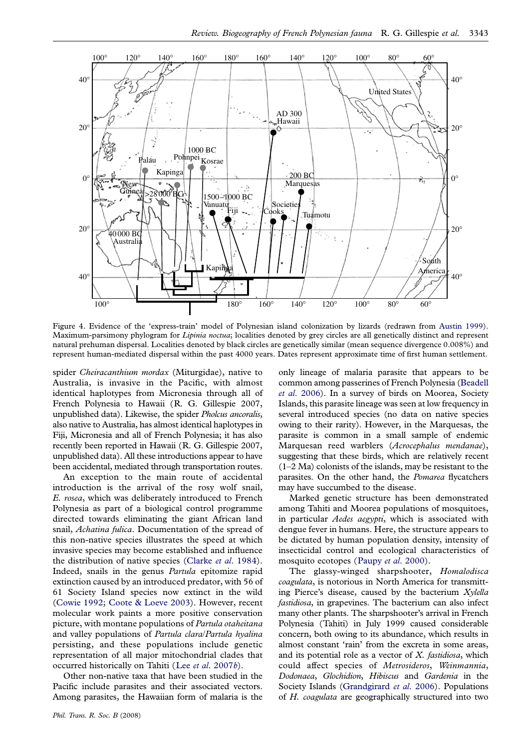<span id="page-8-0"></span>

Figure 4. Evidence of the 'express-train' model of Polynesian island colonization by lizards (redrawn from [Austin](#page-9-0) 1999). Maximum-parsimony phylogram for Lipinia noctua; localities denoted by grey circles are all genetically distinct and represent natural prehuman dispersal. Localities denoted by black circles are genetically similar (mean sequence divergence 0.008%) and represent human-mediated dispersal within the past 4000 years. Dates represent approximate time of first human settlement.

spider Cheiracanthium mordax (Miturgidae), native to Australia, is invasive in the Pacific, with almost identical haplotypes from Micronesia through all of French Polynesia to Hawaii (R. G. Gillespie 2007, unpublished data). Likewise, the spider Pholcus ancoralis, also native to Australia, has almost identical haplotypes in Fiji, Micronesia and all of French Polynesia; it has also recently been reported in Hawaii (R. G. Gillespie 2007, unpublished data). All these introductions appear to have been accidental, mediated through transportation routes.

An exception to the main route of accidental introduction is the arrival of the rosy wolf snail, E. rosea, which was deliberately introduced to French Polynesia as part of a biological control programme directed towards eliminating the giant African land snail, Achatina fulica. Documentation of the spread of this non-native species illustrates the speed at which invasive species may become established and influence the distribution of native species ([Clarke](#page-9-0) et al. 1984). Indeed, snails in the genus Partula epitomize rapid extinction caused by an introduced predator, with 56 of 61 Society Island species now extinct in the wild [\(Cowie](#page-10-0) 1992; [Coote](#page-10-0) & Loeve 2003). However, recent molecular work paints a more positive conservation picture, with montane populations of Partula otaheitana and valley populations of Partula clara/Partula hyalina persisting, and these populations include genetic representation of all major mitochondrial clades that occurred historically on Tahiti (Lee et al. [2007](#page-11-0)b).

Other non-native taxa that have been studied in the Pacific include parasites and their associated vectors. Among parasites, the Hawaiian form of malaria is the

Phil. Trans. R. Soc. B (2008)

only lineage of malaria parasite that appears to be common among passerines of French Polynesia ([Beadell](#page-9-0) et al. [2006](#page-9-0)). In a survey of birds on Moorea, Society Islands, this parasite lineage wasseen at low frequency in several introduced species (no data on native species owing to their rarity). However, in the Marquesas, the parasite is common in a small sample of endemic Marquesan reed warblers (Acrocephalus mendanae), suggesting that these birds, which are relatively recent (1–2 Ma) colonists of the islands, may be resistant to the parasites. On the other hand, the Pomarea flycatchers may have succumbed to the disease.

Marked genetic structure has been demonstrated among Tahiti and Moorea populations of mosquitoes, in particular Aedes aegypti, which is associated with dengue fever in humans. Here, the structure appears to be dictated by human population density, intensity of insecticidal control and ecological characteristics of mosquito ecotopes ([Paupy](#page-11-0) et al. 2000).

The glassy-winged sharpshooter, Homalodisca coagulata, is notorious in North America for transmitting Pierce's disease, caused by the bacterium Xylella fastidiosa, in grapevines. The bacterium can also infect many other plants. The sharpshooter's arrival in French Polynesia (Tahiti) in July 1999 caused considerable concern, both owing to its abundance, which results in almost constant 'rain' from the excreta in some areas, and its potential role as a vector of  $X$ . fastidiosa, which could affect species of Metrosideros, Weinmannia, Dodonaea, Glochidion, Hibiscus and Gardenia in the Society Islands ([Grandgirard](#page-10-0) et al. 2006). Populations of H. coagulata are geographically structured into two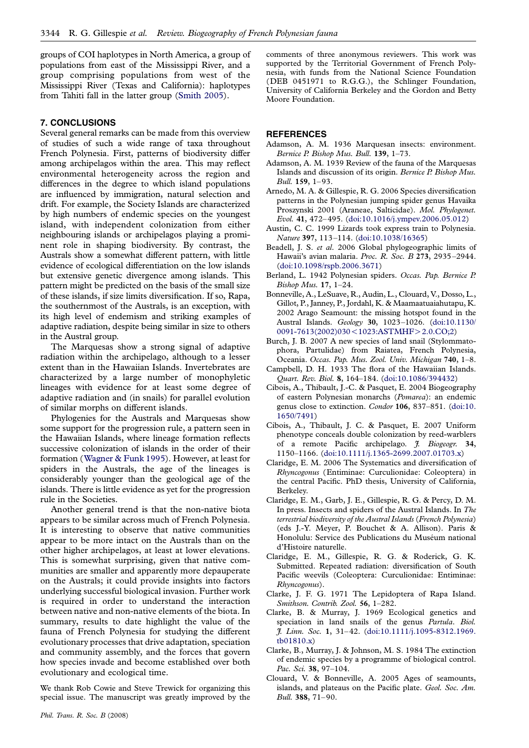<span id="page-9-0"></span>groups of COI haplotypes in North America, a group of populations from east of the Mississippi River, and a group comprising populations from west of the Mississippi River (Texas and California): haplotypes from Tahiti fall in the latter group [\(Smith](#page-11-0) 2005).

## 7. CONCLUSIONS

Several general remarks can be made from this overview of studies of such a wide range of taxa throughout French Polynesia. First, patterns of biodiversity differ among archipelagos within the area. This may reflect environmental heterogeneity across the region and differences in the degree to which island populations are influenced by immigration, natural selection and drift. For example, the Society Islands are characterized by high numbers of endemic species on the youngest island, with independent colonization from either neighbouring islands or archipelagos playing a prominent role in shaping biodiversity. By contrast, the Australs show a somewhat different pattern, with little evidence of ecological differentiation on the low islands but extensive genetic divergence among islands. This pattern might be predicted on the basis of the small size of these islands, if size limits diversification. If so, Rapa, the southernmost of the Australs, is an exception, with its high level of endemism and striking examples of adaptive radiation, despite being similar in size to others in the Austral group.

The Marquesas show a strong signal of adaptive radiation within the archipelago, although to a lesser extent than in the Hawaiian Islands. Invertebrates are characterized by a large number of monophyletic lineages with evidence for at least some degree of adaptive radiation and (in snails) for parallel evolution of similar morphs on different islands.

Phylogenies for the Australs and Marquesas show some support for the progression rule, a pattern seen in the Hawaiian Islands, where lineage formation reflects successive colonization of islands in the order of their formation ([Wagner](#page-11-0) & Funk 1995). However, at least for spiders in the Australs, the age of the lineages is considerably younger than the geological age of the islands. There is little evidence as yet for the progression rule in the Societies.

Another general trend is that the non-native biota appears to be similar across much of French Polynesia. It is interesting to observe that native communities appear to be more intact on the Australs than on the other higher archipelagos, at least at lower elevations. This is somewhat surprising, given that native communities are smaller and apparently more depauperate on the Australs; it could provide insights into factors underlying successful biological invasion. Further work is required in order to understand the interaction between native and non-native elements of the biota. In summary, results to date highlight the value of the fauna of French Polynesia for studying the different evolutionary processes that drive adaptation, speciation and community assembly, and the forces that govern how species invade and become established over both evolutionary and ecological time.

We thank Rob Cowie and Steve Trewick for organizing this special issue. The manuscript was greatly improved by the comments of three anonymous reviewers. This work was supported by the Territorial Government of French Polynesia, with funds from the National Science Foundation (DEB 0451971 to R.G.G.), the Schlinger Foundation, University of California Berkeley and the Gordon and Betty Moore Foundation.

#### **REFERENCES**

- Adamson, A. M. 1936 Marquesan insects: environment. Bernice P. Bishop Mus. Bull. 139, 1-73.
- Adamson, A. M. 1939 Review of the fauna of the Marquesas Islands and discussion of its origin. Bernice P. Bishop Mus. Bull. 159, 1–93.
- Arnedo, M. A. & Gillespie, R. G. 2006 Species diversification patterns in the Polynesian jumping spider genus Havaika Proszynski 2001 (Araneae, Salticidae). Mol. Phylogenet. Evol. 41, 472–495. [\(doi:10.1016/j.ympev.2006.05.012](http://dx.doi.org/doi:10.1016/j.ympev.2006.05.012))
- Austin, C. C. 1999 Lizards took express train to Polynesia. Nature 397, 113–114. [\(doi:10.1038/16365\)](http://dx.doi.org/doi:10.1038/16365)
- Beadell, J. S. et al. 2006 Global phylogeographic limits of Hawaii's avian malaria. Proc. R. Soc. B 273, 2935–2944. ([doi:10.1098/rspb.2006.3671](http://dx.doi.org/doi:10.1098/rspb.2006.3671))
- Berland, L. 1942 Polynesian spiders. Occas. Pap. Bernice P. Bishop Mus. 17, 1–24.
- Bonneville, A., LeSuave, R., Audin, L., Clouard, V., Dosso, L., Gillot, P., Janney, P., Jordahl, K. & Maamaatuaiahutapu, K. 2002 Arago Seamount: the missing hotspot found in the Austral Islands. Geology 30, 1023–1026. ([doi:10.1130/](http://dx.doi.org/doi:10.1130/0091-7613(2002)030%3C1023:ASTMHF%3E2.0.CO;2)  $0091 - 7613(2002)030 < 1023$ :ASTMHF $> 2.0$ .CO;2)
- Burch, J. B. 2007 A new species of land snail (Stylommatophora, Partulidae) from Raiatea, French Polynesia, Oceania. Occas. Pap. Mus. Zool. Univ. Michigan 740, 1–8.
- Campbell, D. H. 1933 The flora of the Hawaiian Islands. Quart. Rev. Biol. 8, 164–184. ([doi:10.1086/394432\)](http://dx.doi.org/doi:10.1086/394432)
- Cibois, A., Thibault, J.-C. & Pasquet, E. 2004 Biogeography of eastern Polynesian monarchs (Pomarea): an endemic genus close to extinction. Condor 106, 837–851. ([doi:10.](http://dx.doi.org/doi:10.1650/7491) [1650/7491](http://dx.doi.org/doi:10.1650/7491))
- Cibois, A., Thibault, J. C. & Pasquet, E. 2007 Uniform phenotype conceals double colonization by reed-warblers of a remote Pacific archipelago. *J. Biogeogr.* 34, 1150–1166. [\(doi:10.1111/j.1365-2699.2007.01703.x\)](http://dx.doi.org/doi:10.1111/j.1365-2699.2007.01703.x)
- Claridge, E. M. 2006 The Systematics and diversification of Rhyncogonus (Entiminae: Curculionidae: Coleoptera) in the central Pacific. PhD thesis, University of California, Berkeley.
- Claridge, E. M., Garb, J. E., Gillespie, R. G. & Percy, D. M. In press. Insects and spiders of the Austral Islands. In The terrestrial biodiversity of the Austral Islands (French Polynesia) (eds J.-Y. Meyer, P. Bouchet & A. Allison). Paris & Honolulu: Service des Publications du Muséum national d'Histoire naturelle.
- Claridge, E. M., Gillespie, R. G. & Roderick, G. K. Submitted. Repeated radiation: diversification of South Pacific weevils (Coleoptera: Curculionidae: Entiminae: Rhyncogonus).
- Clarke, J. F. G. 1971 The Lepidoptera of Rapa Island. Smithson. Contrib. Zool. 56, 1–282.
- Clarke, B. & Murray, J. 1969 Ecological genetics and speciation in land snails of the genus Partula. Biol. J. Linn. Soc. 1, 31–42. ([doi:10.1111/j.1095-8312.1969.](http://dx.doi.org/doi:10.1111/j.1095-8312.1969.tb01810.x) [tb01810.x](http://dx.doi.org/doi:10.1111/j.1095-8312.1969.tb01810.x))
- Clarke, B., Murray, J. & Johnson, M. S. 1984 The extinction of endemic species by a programme of biological control. Pac. Sci. 38, 97–104.
- Clouard, V. & Bonneville, A. 2005 Ages of seamounts, islands, and plateaus on the Pacific plate. Geol. Soc. Am. Bull. 388, 71–90.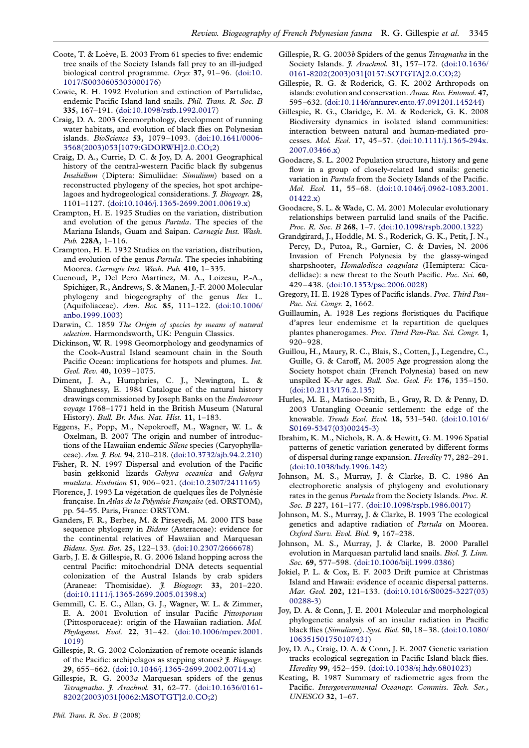- <span id="page-10-0"></span>Coote, T. & Loève, E. 2003 From 61 species to five: endemic tree snails of the Society Islands fall prey to an ill-judged biological control programme. Oryx 37, 91–96. ([doi:10.](http://dx.doi.org/doi:10.1017/S0030605303000176) [1017/S0030605303000176](http://dx.doi.org/doi:10.1017/S0030605303000176))
- Cowie, R. H. 1992 Evolution and extinction of Partulidae, endemic Pacific Island land snails. Phil. Trans. R. Soc. B 335, 167–191. [\(doi:10.1098/rstb.1992.0017\)](http://dx.doi.org/doi:10.1098/rstb.1992.0017)
- Craig, D. A. 2003 Geomorphology, development of running water habitats, and evolution of black flies on Polynesian islands. BioScience 53, 1079–1093. [\(doi:10.1641/0006-](http://dx.doi.org/doi:10.1641/0006-3568(2003)053%5B1079:GDORWH%5D2.0.CO;2) [3568\(2003\)053\[1079:GDORWH\]2.0.CO;2](http://dx.doi.org/doi:10.1641/0006-3568(2003)053%5B1079:GDORWH%5D2.0.CO;2))
- Craig, D. A., Currie, D. C. & Joy, D. A. 2001 Geographical history of the central-western Pacific black fly subgenus Inseliellum (Diptera: Simuliidae: Simulium) based on a reconstructed phylogeny of the species, hot spot archipelagoes and hydrogeological considerations. *J. Biogeogr.* 28, 1101–1127. [\(doi:10.1046/j.1365-2699.2001.00619.x\)](http://dx.doi.org/doi:10.1046/j.1365-2699.2001.00619.x)
- Crampton, H. E. 1925 Studies on the variation, distribution and evolution of the genus Partula. The species of the Mariana Islands, Guam and Saipan. Carnegie Inst. Wash. Pub. 228A, 1-116.
- Crampton, H. E. 1932 Studies on the variation, distribution, and evolution of the genus Partula. The species inhabiting Moorea. Carnegie Inst. Wash. Pub. 410, 1–335.
- Cuenoud, P., Del Pero Martinez, M. A., Loizeau, P.-A., Spichiger, R., Andrews, S. & Manen, J.-F. 2000 Molecular phylogeny and biogeography of the genus Ilex L. (Aquifoliaceae). Ann. Bot. 85, 111–122. ([doi:10.1006/](http://dx.doi.org/doi:10.1006/anbo.1999.1003) [anbo.1999.1003\)](http://dx.doi.org/doi:10.1006/anbo.1999.1003)
- Darwin, C. 1859 The Origin of species by means of natural selection. Harmondsworth, UK: Penguin Classics.
- Dickinson, W. R. 1998 Geomorphology and geodynamics of the Cook-Austral Island seamount chain in the South Pacific Ocean: implications for hotspots and plumes. Int. Geol. Rev. 40, 1039–1075.
- Diment, J. A., Humphries, C. J., Newington, L. & Shaughnessy, E. 1984 Catalogue of the natural history drawings commissioned by Joseph Banks on the Endeavour voyage 1768–1771 held in the British Museum (Natural History). Bull. Br. Mus. Nat. Hist. 11, 1–183.
- Eggens, F., Popp, M., Nepokroeff, M., Wagner, W. L. & Oxelman, B. 2007 The origin and number of introductions of the Hawaiian endemic Silene species (Caryophyllaceae). Am. J. Bot. 94, 210–218. [\(doi:10.3732/ajb.94.2.210\)](http://dx.doi.org/doi:10.3732/ajb.94.2.210)
- Fisher, R. N. 1997 Dispersal and evolution of the Pacific basin gekkonid lizards Gehyra oceanica and Gehyra mutilata. Evolution 51, 906–921. ([doi:10.2307/2411165](http://dx.doi.org/doi:10.2307/2411165))
- Florence, J. 1993 La végétation de quelques îles de Polynésie française. In Atlas de la Polynésie Française (ed. ORSTOM), pp. 54–55. Paris, France: ORSTOM.
- Ganders, F. R., Berbee, M. & Pirseyedi, M. 2000 ITS base sequence phylogeny in Bidens (Asteraceae): evidence for the continental relatives of Hawaiian and Marquesan Bidens. Syst. Bot. 25, 122–133. ([doi:10.2307/2666678](http://dx.doi.org/doi:10.2307/2666678))
- Garb, J. E. & Gillespie, R. G. 2006 Island hopping across the central Pacific: mitochondrial DNA detects sequential colonization of the Austral Islands by crab spiders (Araneae: Thomisidae). *J. Biogeogr.* 33, 201-220. ([doi:10.1111/j.1365-2699.2005.01398.x](http://dx.doi.org/doi:10.1111/j.1365-2699.2005.01398.x))
- Gemmill, C. E. C., Allan, G. J., Wagner, W. L. & Zimmer, E. A. 2001 Evolution of insular Pacific Pittosporum (Pittosporaceae): origin of the Hawaiian radiation. Mol. Phylogenet. Evol. 22, 31–42. ([doi:10.1006/mpev.2001.](http://dx.doi.org/doi:10.1006/mpev.2001.1019) [1019](http://dx.doi.org/doi:10.1006/mpev.2001.1019))
- Gillespie, R. G. 2002 Colonization of remote oceanic islands of the Pacific: archipelagos as stepping stones? J. Biogeogr. 29, 655–662. ([doi:10.1046/j.1365-2699.2002.00714.x](http://dx.doi.org/doi:10.1046/j.1365-2699.2002.00714.x))
- Gillespie, R. G. 2003a Marquesan spiders of the genus Tetragnatha. J. Arachnol. 31, 62-77. [\(doi:10.1636/0161-](http://dx.doi.org/doi:10.1636/0161-8202(2003)031%5B0062:MSOTGT%5D2.0.CO;2) [8202\(2003\)031\[0062:MSOTGT\]2.0.CO;2](http://dx.doi.org/doi:10.1636/0161-8202(2003)031%5B0062:MSOTGT%5D2.0.CO;2))
- Gillespie, R. G. 2003b Spiders of the genus Tetragnatha in the Society Islands. *J. Arachnol.* 31, 157-172. ([doi:10.1636/](http://dx.doi.org/doi:10.1636/0161-8202(2003)031%5B0157:SOTGTA%5D2.0.CO;2) [0161-8202\(2003\)031\[0157:SOTGTA\]2.0.CO;2](http://dx.doi.org/doi:10.1636/0161-8202(2003)031%5B0157:SOTGTA%5D2.0.CO;2))
- Gillespie, R. G. & Roderick, G. K. 2002 Arthropods on islands: evolution and conservation. Annu. Rev. Entomol. 47, 595–632. [\(doi:10.1146/annurev.ento.47.091201.145244\)](http://dx.doi.org/doi:10.1146/annurev.ento.47.091201.145244)
- Gillespie, R. G., Claridge, E. M. & Roderick, G. K. 2008 Biodiversity dynamics in isolated island communities: interaction between natural and human-mediated processes. Mol. Ecol. 17, 45–57. ([doi:10.1111/j.1365-294x.](http://dx.doi.org/doi:10.1111/j.1365-294x.2007.03466.x) [2007.03466.x\)](http://dx.doi.org/doi:10.1111/j.1365-294x.2007.03466.x)
- Goodacre, S. L. 2002 Population structure, history and gene flow in a group of closely-related land snails: genetic variation in Partula from the Society Islands of the Pacific. Mol. Ecol. 11, 55–68. ([doi:10.1046/j.0962-1083.2001.](http://dx.doi.org/doi:10.1046/j.0962-1083.2001.01422.x) [01422.x](http://dx.doi.org/doi:10.1046/j.0962-1083.2001.01422.x))
- Goodacre, S. L. & Wade, C. M. 2001 Molecular evolutionary relationships between partulid land snails of the Pacific. Proc. R. Soc. B 268, 1-7. ([doi:10.1098/rspb.2000.1322](http://dx.doi.org/doi:10.1098/rspb.2000.1322))
- Grandgirard, J., Hoddle, M. S., Roderick, G. K., Petit, J. N., Percy, D., Putoa, R., Garnier, C. & Davies, N. 2006 Invasion of French Polynesia by the glassy-winged sharpshooter, Homalodisca coagulata (Hemiptera: Cicadellidae): a new threat to the South Pacific. Pac. Sci. 60, 429–438. [\(doi:10.1353/psc.2006.0028\)](http://dx.doi.org/doi:10.1353/psc.2006.0028)
- Gregory, H. E. 1928 Types of Pacific islands. Proc. Third Pan-Pac. Sci. Congr. 2, 1662.
- Guillaumin, A. 1928 Les regions floristiques du Pacifique d'apres leur endemisme et la repartition de quelques plantes phanerogames. Proc. Third Pan-Pac. Sci. Congr. 1, 920–928.
- Guillou, H., Maury, R. C., Blais, S., Cotten, J., Legendre, C., Guille, G. & Caroff, M. 2005 Age progression along the Society hotspot chain (French Polynesia) based on new unspiked K-Ar ages. Bull. Soc. Geol. Fr. 176, 135-150. ([doi:10.2113/176.2.135](http://dx.doi.org/doi:10.2113/176.2.135))
- Hurles, M. E., Matisoo-Smith, E., Gray, R. D. & Penny, D. 2003 Untangling Oceanic settlement: the edge of the knowable. Trends Ecol. Evol. 18, 531–540. ([doi:10.1016/](http://dx.doi.org/doi:10.1016/S0169-5347(03)00245-3) [S0169-5347\(03\)00245-3](http://dx.doi.org/doi:10.1016/S0169-5347(03)00245-3))
- Ibrahim, K. M., Nichols, R. A. & Hewitt, G. M. 1996 Spatial patterns of genetic variation generated by different forms of dispersal during range expansion. Heredity 77, 282–291. ([doi:10.1038/hdy.1996.142](http://dx.doi.org/doi:10.1038/hdy.1996.142))
- Johnson, M. S., Murray, J. & Clarke, B. C. 1986 An electrophoretic analysis of phylogeny and evolutionary rates in the genus Partula from the Society Islands. Proc. R. Soc. B 227, 161-177. ([doi:10.1098/rspb.1986.0017](http://dx.doi.org/doi:10.1098/rspb.1986.0017))
- Johnson, M. S., Murray, J. & Clarke, B. 1993 The ecological genetics and adaptive radiation of Partula on Moorea. Oxford Surv. Evol. Biol. 9, 167–238.
- Johnson, M. S., Murray, J. & Clarke, B. 2000 Parallel evolution in Marquesan partulid land snails. Biol. J. Linn. Soc. 69, 577–598. [\(doi:10.1006/bijl.1999.0386](http://dx.doi.org/doi:10.1006/bijl.1999.0386))
- Jokiel, P. L. & Cox, E. F. 2003 Drift pumice at Christmas Island and Hawaii: evidence of oceanic dispersal patterns. Mar. Geol. 202, 121–133. ([doi:10.1016/S0025-3227\(03\)](http://dx.doi.org/doi:10.1016/S0025-3227(03)00288-3) [00288-3](http://dx.doi.org/doi:10.1016/S0025-3227(03)00288-3))
- Joy, D. A. & Conn, J. E. 2001 Molecular and morphological phylogenetic analysis of an insular radiation in Pacific black flies (Simulium). Syst. Biol. 50, 18–38. ([doi:10.1080/](http://dx.doi.org/doi:10.1080/106351501750107431) [106351501750107431](http://dx.doi.org/doi:10.1080/106351501750107431))
- Joy, D. A., Craig, D. A. & Conn, J. E. 2007 Genetic variation tracks ecological segregation in Pacific Island black flies. Heredity 99, 452–459. ([doi:10.1038/sj.hdy.6801023](http://dx.doi.org/doi:10.1038/sj.hdy.6801023))
- Keating, B. 1987 Summary of radiometric ages from the Pacific. Intergovernmental Oceanogr. Commiss. Tech. Ser., UNESCO 32, 1–67.